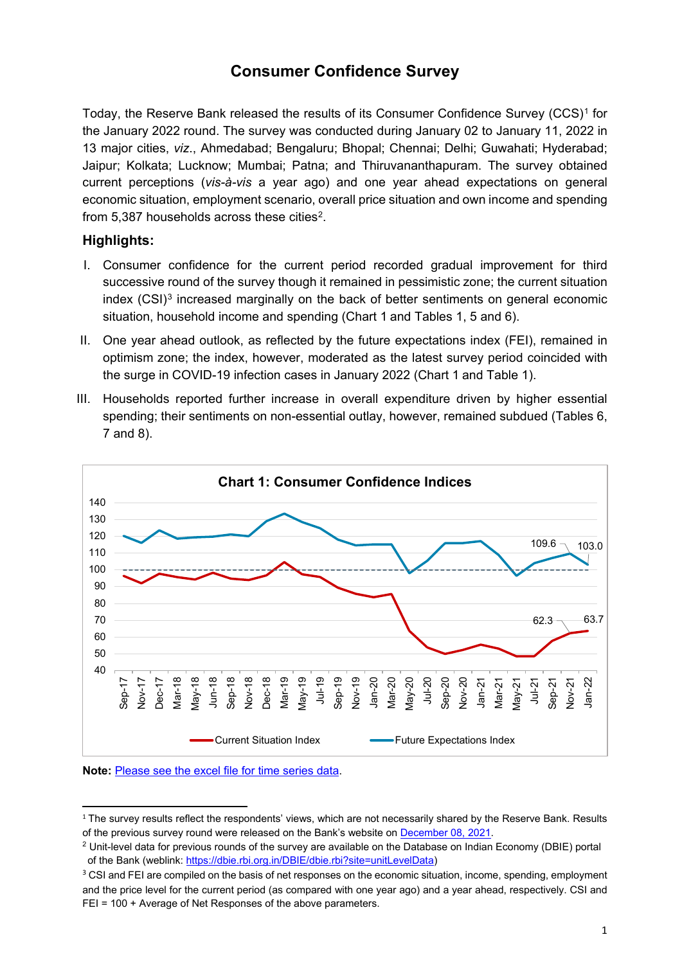# **Consumer Confidence Survey**

Today, the Reserve Bank released the results of its Consumer Confidence Survey (CCS)[1](#page-0-0) for the January 2022 round. The survey was conducted during January 02 to January 11, 2022 in 13 major cities, *viz*., Ahmedabad; Bengaluru; Bhopal; Chennai; Delhi; Guwahati; Hyderabad; Jaipur; Kolkata; Lucknow; Mumbai; Patna; and Thiruvananthapuram. The survey obtained current perceptions (*vis-à-vis* a year ago) and one year ahead expectations on general economic situation, employment scenario, overall price situation and own income and spending from  $5,387$  households across these cities<sup>2</sup>.

#### **Highlights:**

- I. Consumer confidence for the current period recorded gradual improvement for third successive round of the survey though it remained in pessimistic zone; the current situation index (CSI)<sup>[3](#page-0-2)</sup> increased marginally on the back of better sentiments on general economic situation, household income and spending (Chart 1 and Tables 1, 5 and 6).
- II. One year ahead outlook, as reflected by the future expectations index (FEI), remained in optimism zone; the index, however, moderated as the latest survey period coincided with the surge in COVID-19 infection cases in January 2022 (Chart 1 and Table 1).
- III. Households reported further increase in overall expenditure driven by higher essential spending; their sentiments on non-essential outlay, however, remained subdued (Tables 6, 7 and 8).



#### **Note:** [Please see the excel file for time series data.](https://rbidocs.rbi.org.in/rdocs/content/docs/CCSH10022022.xlsx)

<span id="page-0-0"></span><sup>&</sup>lt;sup>1</sup> The survey results reflect the respondents' views, which are not necessarily shared by the Reserve Bank. Results of the previous survey round were released on the Bank's website o[n December 08, 2021.](https://www.rbi.org.in/Scripts/PublicationsView.aspx?id=20929)

<span id="page-0-1"></span><sup>&</sup>lt;sup>2</sup> Unit-level data for previous rounds of the survey are available on the Database on Indian Economy (DBIE) portal of the Bank (weblink: [https://dbie.rbi.org.in/DBIE/dbie.rbi?site=unitLevelData\)](https://dbie.rbi.org.in/DBIE/dbie.rbi?site=unitLevelData)

<span id="page-0-2"></span><sup>&</sup>lt;sup>3</sup> CSI and FEI are compiled on the basis of net responses on the economic situation, income, spending, employment and the price level for the current period (as compared with one year ago) and a year ahead, respectively. CSI and FEI = 100 + Average of Net Responses of the above parameters.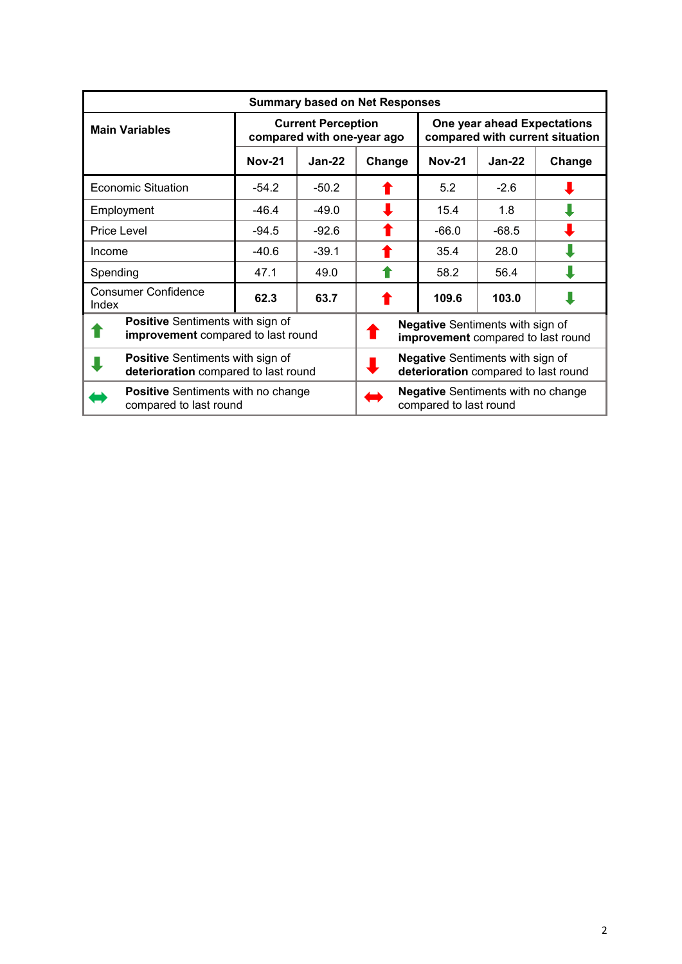|          | <b>Summary based on Net Responses</b>                                           |                                                         |                                                                                 |                                                                     |                                                                               |          |        |  |  |  |  |
|----------|---------------------------------------------------------------------------------|---------------------------------------------------------|---------------------------------------------------------------------------------|---------------------------------------------------------------------|-------------------------------------------------------------------------------|----------|--------|--|--|--|--|
|          | <b>Main Variables</b>                                                           | <b>Current Perception</b><br>compared with one-year ago |                                                                                 |                                                                     | One year ahead Expectations<br>compared with current situation                |          |        |  |  |  |  |
|          |                                                                                 | <b>Nov-21</b>                                           | $Jan-22$                                                                        | Change                                                              | <b>Nov-21</b>                                                                 | $Jan-22$ | Change |  |  |  |  |
|          | <b>Economic Situation</b>                                                       | $-54.2$                                                 | $-50.2$                                                                         |                                                                     | 5.2                                                                           | $-2.6$   |        |  |  |  |  |
|          | Employment                                                                      | $-46.4$                                                 | $-49.0$                                                                         |                                                                     | 15.4                                                                          | 1.8      |        |  |  |  |  |
|          | Price Level                                                                     | $-94.5$                                                 | $-92.6$                                                                         |                                                                     | $-66.0$                                                                       | $-68.5$  |        |  |  |  |  |
| Income   |                                                                                 | $-40.6$                                                 | $-39.1$                                                                         |                                                                     | 35.4                                                                          | 28.0     |        |  |  |  |  |
| Spending |                                                                                 | 47.1                                                    | 49.0                                                                            |                                                                     | 58.2                                                                          | 56.4     |        |  |  |  |  |
| Index    | <b>Consumer Confidence</b>                                                      | 62.3                                                    | 63.7                                                                            |                                                                     | 109.6                                                                         | 103.0    |        |  |  |  |  |
|          | <b>Positive</b> Sentiments with sign of<br>improvement compared to last round   |                                                         |                                                                                 |                                                                     | <b>Negative</b> Sentiments with sign of<br>improvement compared to last round |          |        |  |  |  |  |
|          | <b>Positive</b> Sentiments with sign of<br>deterioration compared to last round |                                                         | <b>Negative</b> Sentiments with sign of<br>deterioration compared to last round |                                                                     |                                                                               |          |        |  |  |  |  |
|          | <b>Positive</b> Sentiments with no change<br>compared to last round             |                                                         |                                                                                 | <b>Negative</b> Sentiments with no change<br>compared to last round |                                                                               |          |        |  |  |  |  |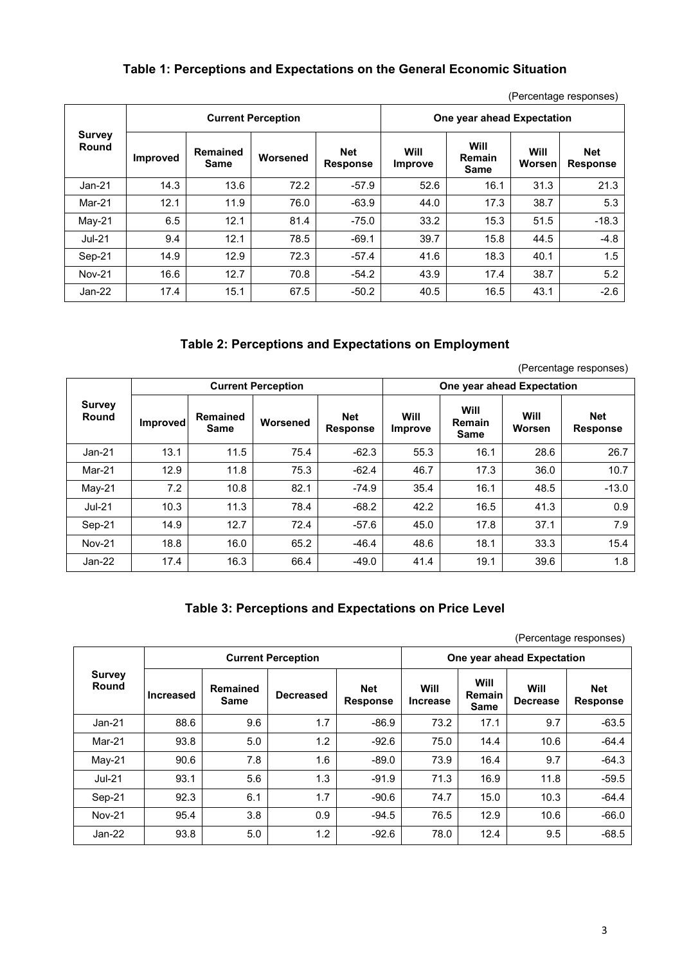#### **Table 1: Perceptions and Expectations on the General Economic Situation**

(Percentage responses)

|                        |                 |                  | <b>Current Perception</b> |                               | One year ahead Expectation |                        |                |                               |  |
|------------------------|-----------------|------------------|---------------------------|-------------------------------|----------------------------|------------------------|----------------|-------------------------------|--|
| <b>Survey</b><br>Round | <b>Improved</b> | Remained<br>Same | Worsened                  | <b>Net</b><br><b>Response</b> | Will<br>Improve            | Will<br>Remain<br>Same | Will<br>Worsen | <b>Net</b><br><b>Response</b> |  |
| $Jan-21$               | 14.3            | 13.6             | 72.2                      | $-57.9$                       | 52.6                       | 16.1                   | 31.3           | 21.3                          |  |
| Mar-21                 | 12.1            | 11.9             | 76.0                      | $-63.9$                       | 44.0                       | 17.3                   | 38.7           | 5.3                           |  |
| $Mav-21$               | 6.5             | 12.1             | 81.4                      | $-75.0$                       | 33.2                       | 15.3                   | 51.5           | $-18.3$                       |  |
| <b>Jul-21</b>          | 9.4             | 12.1             | 78.5                      | $-69.1$                       | 39.7                       | 15.8                   | 44.5           | $-4.8$                        |  |
| Sep-21                 | 14.9            | 12.9             | 72.3                      | $-57.4$                       | 41.6                       | 18.3                   | 40.1           | 1.5                           |  |
| <b>Nov-21</b>          | 16.6            | 12.7             | 70.8                      | $-54.2$                       | 43.9                       | 17.4                   | 38.7           | 5.2                           |  |
| $Jan-22$               | 17.4            | 15.1             | 67.5                      | $-50.2$                       | 40.5                       | 16.5                   | 43.1           | $-2.6$                        |  |

#### **Table 2: Perceptions and Expectations on Employment**

(Percentage responses)

|                        |          |                  | <b>Current Perception</b> |                               | One year ahead Expectation |                        |                |                               |  |
|------------------------|----------|------------------|---------------------------|-------------------------------|----------------------------|------------------------|----------------|-------------------------------|--|
| <b>Survey</b><br>Round | Improved | Remained<br>Same | Worsened                  | <b>Net</b><br><b>Response</b> | Will<br>Improve            | Will<br>Remain<br>Same | Will<br>Worsen | <b>Net</b><br><b>Response</b> |  |
| $Jan-21$               | 13.1     | 11.5             | 75.4                      | $-62.3$                       | 55.3                       | 16.1                   | 28.6           | 26.7                          |  |
| Mar-21                 | 12.9     | 11.8             | 75.3                      | $-62.4$                       | 46.7                       | 17.3                   | 36.0           | 10.7                          |  |
| $May-21$               | 7.2      | 10.8             | 82.1                      | $-74.9$                       | 35.4                       | 16.1                   | 48.5           | $-13.0$                       |  |
| <b>Jul-21</b>          | 10.3     | 11.3             | 78.4                      | $-68.2$                       | 42.2                       | 16.5                   | 41.3           | 0.9                           |  |
| Sep-21                 | 14.9     | 12.7             | 72.4                      | $-57.6$                       | 45.0                       | 17.8                   | 37.1           | 7.9                           |  |
| <b>Nov-21</b>          | 18.8     | 16.0             | 65.2                      | $-46.4$                       | 48.6                       | 18.1                   | 33.3           | 15.4                          |  |
| $Jan-22$               | 17.4     | 16.3             | 66.4                      | $-49.0$                       | 41.4                       | 19.1                   | 39.6           | 1.8                           |  |

#### **Table 3: Perceptions and Expectations on Price Level**

(Percentage responses)

| <b>Survey</b><br>Round |                  | <b>Current Perception</b> |                  |                               |                         |                                             | One year ahead Expectation |                               |  |  |  |
|------------------------|------------------|---------------------------|------------------|-------------------------------|-------------------------|---------------------------------------------|----------------------------|-------------------------------|--|--|--|
|                        | <b>Increased</b> | Remained<br>Same          | <b>Decreased</b> | <b>Net</b><br><b>Response</b> | Will<br><b>Increase</b> | <b>Will</b><br><b>Remain</b><br><b>Same</b> | Will<br><b>Decrease</b>    | <b>Net</b><br><b>Response</b> |  |  |  |
| $Jan-21$               | 88.6             | 9.6                       | 1.7              | $-86.9$                       | 73.2                    | 17.1                                        | 9.7                        | $-63.5$                       |  |  |  |
| Mar-21                 | 93.8             | 5.0                       | 1.2              | $-92.6$                       | 75.0                    | 14.4                                        | 10.6                       | $-64.4$                       |  |  |  |
| $Mav-21$               | 90.6             | 7.8                       | 1.6              | $-89.0$                       | 73.9                    | 16.4                                        | 9.7                        | $-64.3$                       |  |  |  |
| <b>Jul-21</b>          | 93.1             | 5.6                       | 1.3              | $-91.9$                       | 71.3                    | 16.9                                        | 11.8                       | $-59.5$                       |  |  |  |
| Sep-21                 | 92.3             | 6.1                       | 1.7              | $-90.6$                       | 74.7                    | 15.0                                        | 10.3                       | $-64.4$                       |  |  |  |
| <b>Nov-21</b>          | 95.4             | 3.8                       | 0.9              | $-94.5$                       | 76.5                    | 12.9                                        | 10.6                       | $-66.0$                       |  |  |  |
| $Jan-22$               | 93.8             | 5.0                       | 1.2              | $-92.6$                       | 78.0                    | 12.4                                        | 9.5                        | $-68.5$                       |  |  |  |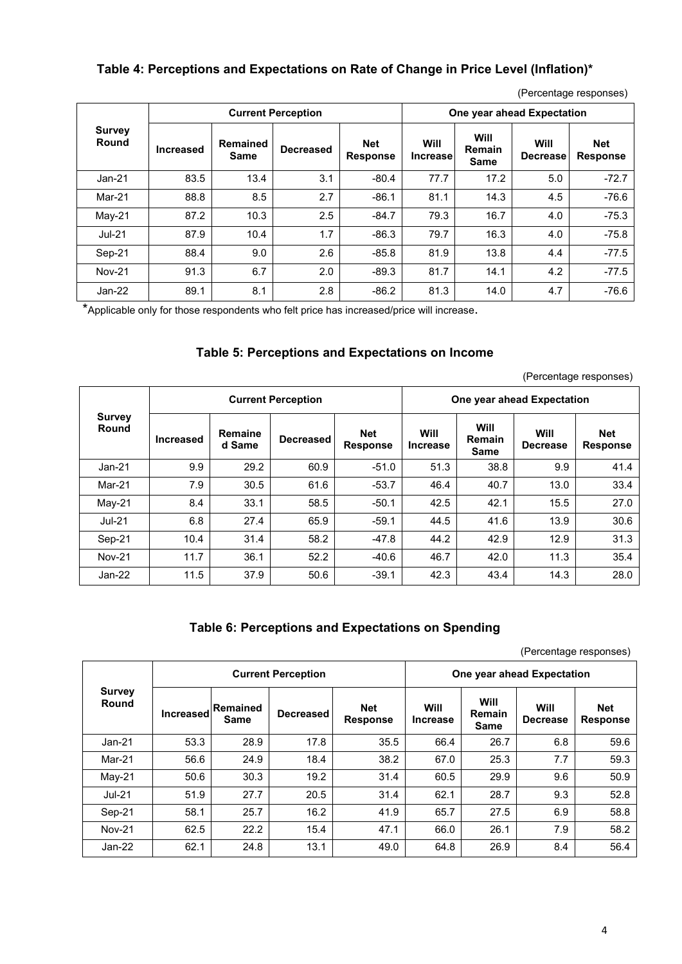### **Table 4: Perceptions and Expectations on Rate of Change in Price Level (Inflation)\***

| <b>Survey</b><br>Round |           |                         | <b>Current Perception</b> | One year ahead Expectation |                         |                                      |                         |                               |
|------------------------|-----------|-------------------------|---------------------------|----------------------------|-------------------------|--------------------------------------|-------------------------|-------------------------------|
|                        | Increased | Remained<br><b>Same</b> | <b>Decreased</b>          | Net<br><b>Response</b>     | Will<br><b>Increase</b> | Will<br><b>Remain</b><br><b>Same</b> | Will<br><b>Decrease</b> | <b>Net</b><br><b>Response</b> |
| $Jan-21$               | 83.5      | 13.4                    | 3.1                       | $-80.4$                    | 77.7                    | 17.2                                 | 5.0                     | $-72.7$                       |
| Mar-21                 | 88.8      | 8.5                     | 2.7                       | $-86.1$                    | 81.1                    | 14.3                                 | 4.5                     | $-76.6$                       |
| May-21                 | 87.2      | 10.3                    | 2.5                       | $-84.7$                    | 79.3                    | 16.7                                 | 4.0                     | $-75.3$                       |
| $Jul-21$               | 87.9      | 10.4                    | 1.7                       | $-86.3$                    | 79.7                    | 16.3                                 | 4.0                     | $-75.8$                       |
| Sep-21                 | 88.4      | 9.0                     | 2.6                       | $-85.8$                    | 81.9                    | 13.8                                 | 4.4                     | $-77.5$                       |
| <b>Nov-21</b>          | 91.3      | 6.7                     | 2.0                       | $-89.3$                    | 81.7                    | 14.1                                 | 4.2                     | $-77.5$                       |
| Jan-22                 | 89.1      | 8.1                     | 2.8                       | $-86.2$                    | 81.3                    | 14.0                                 | 4.7                     | $-76.6$                       |

(Percentage responses)

\*Applicable only for those respondents who felt price has increased/price will increase.

### **Table 5: Perceptions and Expectations on Income**

(Percentage responses)

|                        |                  |                   | <b>Current Perception</b> |                               | One year ahead Expectation |                                      |                         |                               |  |
|------------------------|------------------|-------------------|---------------------------|-------------------------------|----------------------------|--------------------------------------|-------------------------|-------------------------------|--|
| <b>Survey</b><br>Round | <b>Increased</b> | Remaine<br>d Same | <b>Decreased</b>          | <b>Net</b><br><b>Response</b> | Will<br><b>Increase</b>    | <b>Will</b><br>Remain<br><b>Same</b> | Will<br><b>Decrease</b> | <b>Net</b><br><b>Response</b> |  |
| $Jan-21$               | 9.9              | 29.2              | 60.9                      | $-51.0$                       | 51.3                       | 38.8                                 | 9.9                     | 41.4                          |  |
| Mar-21                 | 7.9              | 30.5              | 61.6                      | $-53.7$                       | 46.4                       | 40.7                                 | 13.0                    | 33.4                          |  |
| $Mav-21$               | 8.4              | 33.1              | 58.5                      | $-50.1$                       | 42.5                       | 42.1                                 | 15.5                    | 27.0                          |  |
| <b>Jul-21</b>          | 6.8              | 27.4              | 65.9                      | $-59.1$                       | 44.5                       | 41.6                                 | 13.9                    | 30.6                          |  |
| Sep-21                 | 10.4             | 31.4              | 58.2                      | $-47.8$                       | 44.2                       | 42.9                                 | 12.9                    | 31.3                          |  |
| <b>Nov-21</b>          | 11.7             | 36.1              | 52.2                      | $-40.6$                       | 46.7                       | 42.0                                 | 11.3                    | 35.4                          |  |
| Jan-22                 | 11.5             | 37.9              | 50.6                      | $-39.1$                       | 42.3                       | 43.4                                 | 14.3                    | 28.0                          |  |

#### **Table 6: Perceptions and Expectations on Spending**

(Percentage responses)

|                        |                  |                         | <b>Current Perception</b> |                               | One year ahead Expectation |                                      |                         |                               |  |
|------------------------|------------------|-------------------------|---------------------------|-------------------------------|----------------------------|--------------------------------------|-------------------------|-------------------------------|--|
| <b>Survey</b><br>Round | <b>Increased</b> | <b>Remained</b><br>Same | <b>Decreased</b>          | <b>Net</b><br><b>Response</b> | Will<br><b>Increase</b>    | Will<br><b>Remain</b><br><b>Same</b> | Will<br><b>Decrease</b> | <b>Net</b><br><b>Response</b> |  |
| $Jan-21$               | 53.3             | 28.9                    | 17.8                      | 35.5                          | 66.4                       | 26.7                                 | 6.8                     | 59.6                          |  |
| Mar-21                 | 56.6             | 24.9                    | 18.4                      | 38.2                          | 67.0                       | 25.3                                 | 7.7                     | 59.3                          |  |
| May-21                 | 50.6             | 30.3                    | 19.2                      | 31.4                          | 60.5                       | 29.9                                 | 9.6                     | 50.9                          |  |
| <b>Jul-21</b>          | 51.9             | 27.7                    | 20.5                      | 31.4                          | 62.1                       | 28.7                                 | 9.3                     | 52.8                          |  |
| Sep-21                 | 58.1             | 25.7                    | 16.2                      | 41.9                          | 65.7                       | 27.5                                 | 6.9                     | 58.8                          |  |
| <b>Nov-21</b>          | 62.5             | 22.2                    | 15.4                      | 47.1                          | 66.0                       | 26.1                                 | 7.9                     | 58.2                          |  |
| $Jan-22$               | 62.1             | 24.8                    | 13.1                      | 49.0                          | 64.8                       | 26.9                                 | 8.4                     | 56.4                          |  |